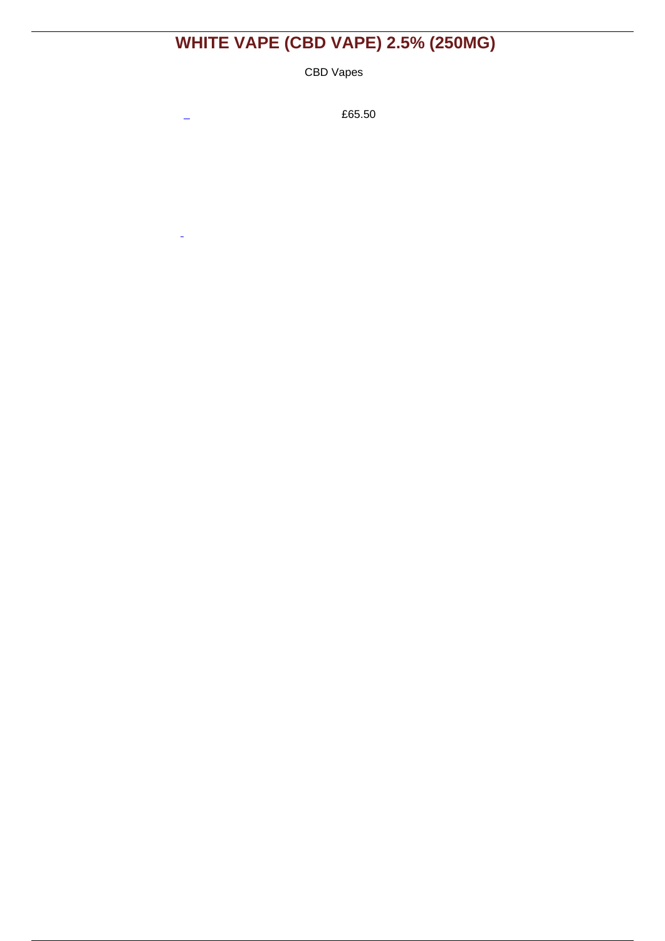# **[WHITE VAPE \(CBD VAPE\) 2.5% \(250MG\)](https://euphoriumx.com/wine/white-vape-cbd-vape-2-5-250mg)**

CBD Vapes

 $\overline{a}$ 

 $\overline{a}$ 

£65.50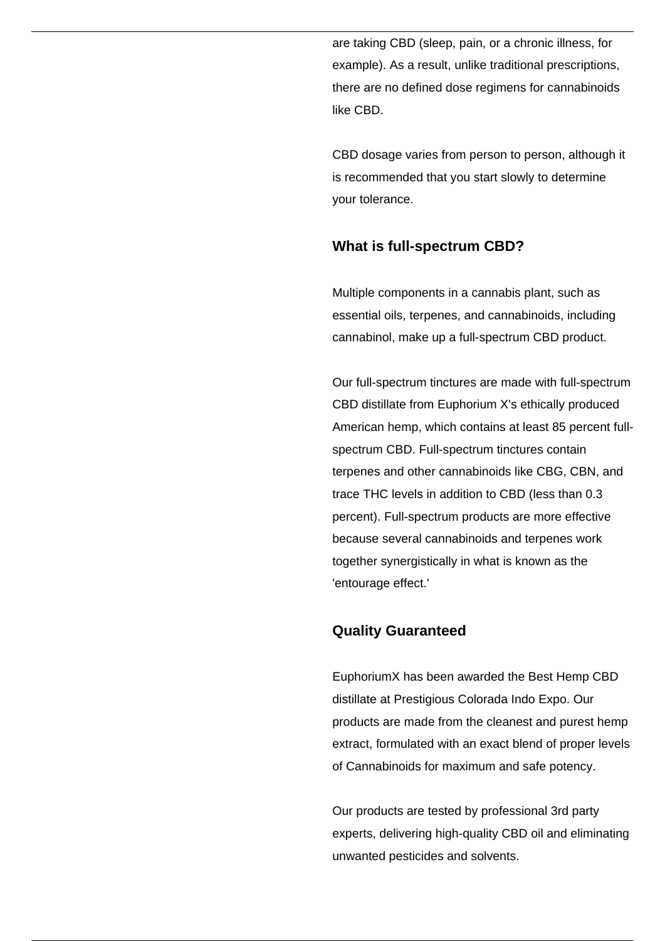are taking CBD (sleep, pain, or a chronic illness, for example). As a result, unlike traditional prescriptions, there are no defined dose regimens for cannabinoids like CBD.

CBD dosage varies from person to person, although it is recommended that you start slowly to determine your tolerance.

### **What is full-spectrum CBD?**

Multiple components in a cannabis plant, such as essential oils, terpenes, and cannabinoids, including cannabinol, make up a full-spectrum CBD product.

Our full-spectrum tinctures are made with full-spectrum CBD distillate from Euphorium X's ethically produced American hemp, which contains at least 85 percent fullspectrum CBD. Full-spectrum tinctures contain terpenes and other cannabinoids like CBG, CBN, and trace THC levels in addition to CBD (less than 0.3 percent). Full-spectrum products are more effective because several cannabinoids and terpenes work together synergistically in what is known as the 'entourage effect.'

# **Quality Guaranteed**

EuphoriumX has been awarded the Best Hemp CBD distillate at Prestigious Colorada Indo Expo. Our products are made from the cleanest and purest hemp extract, formulated with an exact blend of proper levels of Cannabinoids for maximum and safe potency.

Our products are tested by professional 3rd party experts, delivering high-quality CBD oil and eliminating unwanted pesticides and solvents.